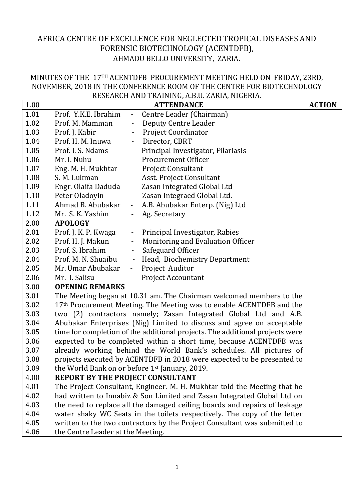## AFRICA CENTRE OF EXCELLENCE FOR NEGLECTED TROPICAL DISEASES AND FORENSIC BIOTECHNOLOGY (ACENTDFB), AHMADU BELLO UNIVERSITY, ZARIA.

## MINUTES OF THE 17TH ACENTDFB PROCUREMENT MEETING HELD ON FRIDAY, 23RD, NOVEMBER, 2018 IN THE CONFERENCE ROOM OF THE CENTRE FOR BIOTECHNOLOGY RESEARCH AND TRAINING, A.B.U. ZARIA, NIGERIA.

| 1.00 | <b>ACTION</b><br><b>ATTENDANCE</b>                                               |                           |                                    |  |  |
|------|----------------------------------------------------------------------------------|---------------------------|------------------------------------|--|--|
| 1.01 | Prof. Y.K.E. Ibrahim                                                             | $\omega_{\rm{eff}}$       | Centre Leader (Chairman)           |  |  |
| 1.02 | Prof. M. Mamman                                                                  | $\overline{\phantom{a}}$  | Deputy Centre Leader               |  |  |
| 1.03 | Prof. J. Kabir                                                                   | $\Box$                    | <b>Project Coordinator</b>         |  |  |
| 1.04 | Prof. H. M. Inuwa                                                                | $\blacksquare$            | Director, CBRT                     |  |  |
| 1.05 | Prof. I. S. Ndams                                                                | $\Box$                    | Principal Investigator, Filariasis |  |  |
| 1.06 | Mr. I. Nuhu                                                                      | $-$                       | <b>Procurement Officer</b>         |  |  |
| 1.07 | Eng. M. H. Mukhtar                                                               | $\pm$                     | <b>Project Consultant</b>          |  |  |
| 1.08 | S. M. Lukman                                                                     | $\blacksquare$            | Asst. Project Consultant           |  |  |
| 1.09 | Engr. Olaifa Daduda                                                              | $\mathbb{Z}^{\mathbb{Z}}$ | Zasan Integrated Global Ltd        |  |  |
| 1.10 | Peter Oladoyin                                                                   | $\frac{1}{2}$             | Zasan Integraed Global Ltd.        |  |  |
| 1.11 | Ahmad B. Abubakar                                                                | $\blacksquare$            | A.B. Abubakar Enterp. (Nig) Ltd    |  |  |
| 1.12 | Mr. S. K. Yashim                                                                 | $\sim$                    | Ag. Secretary                      |  |  |
| 2.00 | <b>APOLOGY</b>                                                                   |                           |                                    |  |  |
| 2.01 | Prof. J. K. P. Kwaga                                                             | $\pm$ .                   | Principal Investigator, Rabies     |  |  |
| 2.02 | Prof. H. J. Makun                                                                | $\pm$                     | Monitoring and Evaluation Officer  |  |  |
| 2.03 | Prof. S. Ibrahim                                                                 | $\equiv$                  | Safeguard Officer                  |  |  |
| 2.04 | Prof. M. N. Shuaibu                                                              |                           | - Head, Biochemistry Department    |  |  |
| 2.05 | Mr. Umar Abubakar                                                                | $\omega_{\rm{eff}}$       | Project Auditor                    |  |  |
| 2.06 | Mr. I. Salisu                                                                    |                           | <b>Project Accountant</b>          |  |  |
| 3.00 | <b>OPENING REMARKS</b>                                                           |                           |                                    |  |  |
| 3.01 | The Meeting began at 10.31 am. The Chairman welcomed members to the              |                           |                                    |  |  |
| 3.02 | 17 <sup>th</sup> Procurement Meeting. The Meeting was to enable ACENTDFB and the |                           |                                    |  |  |
| 3.03 | two (2) contractors namely; Zasan Integrated Global Ltd and A.B.                 |                           |                                    |  |  |
| 3.04 | Abubakar Enterprises (Nig) Limited to discuss and agree on acceptable            |                           |                                    |  |  |
| 3.05 | time for completion of the additional projects. The additional projects were     |                           |                                    |  |  |
| 3.06 | expected to be completed within a short time, because ACENTDFB was               |                           |                                    |  |  |
| 3.07 | already working behind the World Bank's schedules. All pictures of               |                           |                                    |  |  |
| 3.08 | projects executed by ACENTDFB in 2018 were expected to be presented to           |                           |                                    |  |  |
| 3.09 | the World Bank on or before 1st January, 2019.                                   |                           |                                    |  |  |
| 4.00 | <b>REPORT BY THE PROJECT CONSULTANT</b>                                          |                           |                                    |  |  |
| 4.01 | The Project Consultant, Engineer. M. H. Mukhtar told the Meeting that he         |                           |                                    |  |  |
| 4.02 | had written to Innabiz & Son Limited and Zasan Integrated Global Ltd on          |                           |                                    |  |  |
| 4.03 | the need to replace all the damaged ceiling boards and repairs of leakage        |                           |                                    |  |  |
| 4.04 | water shaky WC Seats in the toilets respectively. The copy of the letter         |                           |                                    |  |  |
| 4.05 | written to the two contractors by the Project Consultant was submitted to        |                           |                                    |  |  |
| 4.06 | the Centre Leader at the Meeting.                                                |                           |                                    |  |  |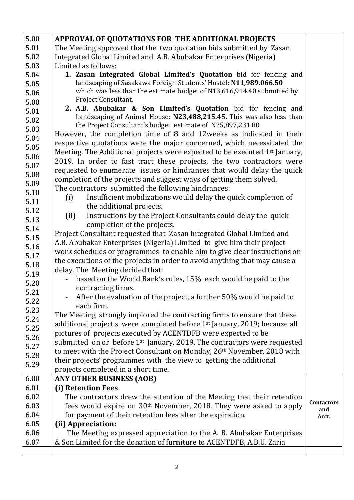| 5.00 | APPROVAL OF QUOTATIONS FOR THE ADDITIONAL PROJECTS                                     |                   |
|------|----------------------------------------------------------------------------------------|-------------------|
| 5.01 | The Meeting approved that the two quotation bids submitted by Zasan                    |                   |
| 5.02 | Integrated Global Limited and A.B. Abubakar Enterprises (Nigeria)                      |                   |
| 5.03 | Limited as follows:                                                                    |                   |
| 5.04 | 1. Zasan Integrated Global Limited's Quotation bid for fencing and                     |                   |
| 5.05 | landscaping of Sasakawa Foreign Students' Hostel: N11,989.066.50                       |                   |
| 5.06 | which was less than the estimate budget of N13,616,914.40 submitted by                 |                   |
| 5.00 | Project Consultant.                                                                    |                   |
| 5.01 | 2. A.B. Abubakar & Son Limited's Quotation bid for fencing and                         |                   |
| 5.02 | Landscaping of Animal House: N23,488,215.45. This was also less than                   |                   |
| 5.03 | the Project Consultant's budget estimate of N25,897,231.80                             |                   |
| 5.04 | However, the completion time of 8 and 12 weeks as indicated in their                   |                   |
| 5.05 | respective quotations were the major concerned, which necessitated the                 |                   |
| 5.06 | Meeting. The Additional projects were expected to be executed 1 <sup>st</sup> January, |                   |
| 5.07 | 2019. In order to fast tract these projects, the two contractors were                  |                   |
| 5.08 | requested to enumerate issues or hindrances that would delay the quick                 |                   |
| 5.09 | completion of the projects and suggest ways of getting them solved.                    |                   |
| 5.10 | The contractors submitted the following hindrances:                                    |                   |
| 5.11 | Insufficient mobilizations would delay the quick completion of<br>(i)                  |                   |
| 5.12 | the additional projects.                                                               |                   |
| 5.13 | Instructions by the Project Consultants could delay the quick<br>(ii)                  |                   |
| 5.14 | completion of the projects.                                                            |                   |
| 5.15 | Project Consultant requested that Zasan Integrated Global Limited and                  |                   |
| 5.16 | A.B. Abubakar Enterprises (Nigeria) Limited to give him their project                  |                   |
| 5.17 | work schedules or programmes to enable him to give clear instructions on               |                   |
|      | the executions of the projects in order to avoid anything that may cause a             |                   |
| 5.18 | delay. The Meeting decided that:                                                       |                   |
| 5.19 | based on the World Bank's rules, 15% each would be paid to the                         |                   |
| 5.20 | contracting firms.                                                                     |                   |
| 5.21 | - After the evaluation of the project, a further 50% would be paid to                  |                   |
| 5.22 | each firm.                                                                             |                   |
| 5.23 | The Meeting strongly implored the contracting firms to ensure that these               |                   |
| 5.24 | additional project s were completed before 1 <sup>st</sup> January, 2019; because all  |                   |
| 5.25 | pictures of projects executed by ACENTDFB were expected to be                          |                   |
| 5.26 | submitted on or before 1 <sup>st</sup> January, 2019. The contractors were requested   |                   |
| 5.27 | to meet with the Project Consultant on Monday, 26 <sup>th</sup> November, 2018 with    |                   |
| 5.28 | their projects' programmes with the view to getting the additional                     |                   |
| 5.29 | projects completed in a short time.                                                    |                   |
| 6.00 | <b>ANY OTHER BUSINESS (AOB)</b>                                                        |                   |
| 6.01 | (i) Retention Fees                                                                     |                   |
| 6.02 | The contractors drew the attention of the Meeting that their retention                 |                   |
| 6.03 | fees would expire on 30 <sup>th</sup> November, 2018. They were asked to apply         | <b>Contactors</b> |
| 6.04 | for payment of their retention fees after the expiration.                              | and<br>Acct.      |
| 6.05 | (ii) Appreciation:                                                                     |                   |
| 6.06 | The Meeting expressed appreciation to the A. B. Abubakar Enterprises                   |                   |
| 6.07 | & Son Limited for the donation of furniture to ACENTDFB, A.B.U. Zaria                  |                   |
|      |                                                                                        |                   |